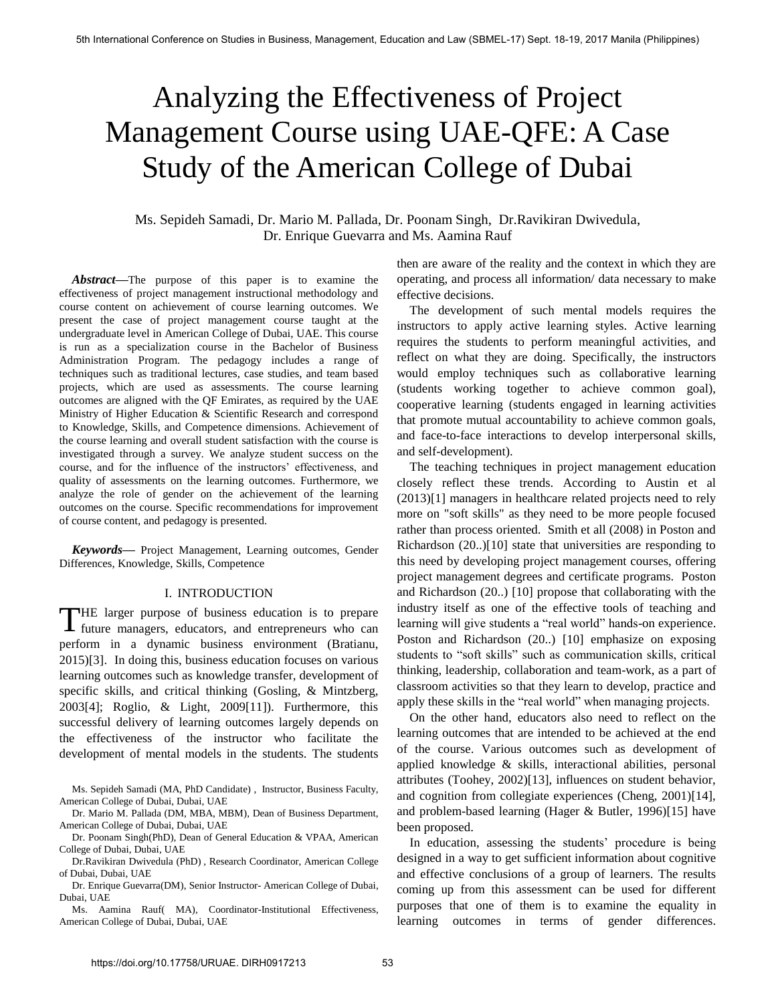# Analyzing the Effectiveness of Project Management Course using UAE-QFE: A Case Study of the American College of Dubai

# Ms. Sepideh Samadi, Dr. Mario M. Pallada, Dr. Poonam Singh, Dr.Ravikiran Dwivedula, Dr. Enrique Guevarra and Ms. Aamina Rauf

*Abstract***—**The purpose of this paper is to examine the effectiveness of project management instructional methodology and course content on achievement of course learning outcomes. We present the case of project management course taught at the undergraduate level in American College of Dubai, UAE. This course is run as a specialization course in the Bachelor of Business Administration Program. The pedagogy includes a range of techniques such as traditional lectures, case studies, and team based projects, which are used as assessments. The course learning outcomes are aligned with the QF Emirates, as required by the UAE Ministry of Higher Education & Scientific Research and correspond to Knowledge, Skills, and Competence dimensions. Achievement of the course learning and overall student satisfaction with the course is investigated through a survey. We analyze student success on the course, and for the influence of the instructors' effectiveness, and quality of assessments on the learning outcomes. Furthermore, we analyze the role of gender on the achievement of the learning outcomes on the course. Specific recommendations for improvement of course content, and pedagogy is presented.

*Keywords***—** Project Management, Learning outcomes, Gender Differences, Knowledge, Skills, Competence

## I. INTRODUCTION

THE larger purpose of business education is to prepare THE larger purpose of business education is to prepare future managers, educators, and entrepreneurs who can perform in a dynamic business environment (Bratianu, 2015)[3]. In doing this, business education focuses on various learning outcomes such as knowledge transfer, development of specific skills, and critical thinking (Gosling, & Mintzberg, 2003[4]; Roglio, & Light, 2009[11]). Furthermore, this successful delivery of learning outcomes largely depends on the effectiveness of the instructor who facilitate the development of mental models in the students. The students

Ms. Sepideh Samadi (MA, PhD Candidate) , Instructor, Business Faculty, American College of Dubai, Dubai, UAE

Dr. Mario M. Pallada (DM, MBA, MBM), Dean of Business Department, American College of Dubai, Dubai, UAE

Dr. Poonam Singh(PhD), Dean of General Education & VPAA, American College of Dubai, Dubai, UAE

Dr.Ravikiran Dwivedula (PhD) , Research Coordinator, American College of Dubai, Dubai, UAE

Dr. Enrique Guevarra(DM), Senior Instructor- American College of Dubai, Dubai, UAE

Ms. Aamina Rauf( MA), Coordinator-Institutional Effectiveness, American College of Dubai, Dubai, UAE

then are aware of the reality and the context in which they are operating, and process all information/ data necessary to make effective decisions.

The development of such mental models requires the instructors to apply active learning styles. Active learning requires the students to perform meaningful activities, and reflect on what they are doing. Specifically, the instructors would employ techniques such as collaborative learning (students working together to achieve common goal), cooperative learning (students engaged in learning activities that promote mutual accountability to achieve common goals, and face-to-face interactions to develop interpersonal skills, and self-development).

The teaching techniques in project management education closely reflect these trends. According to Austin et al (2013)[1] managers in healthcare related projects need to rely more on "soft skills" as they need to be more people focused rather than process oriented. Smith et all (2008) in Poston and Richardson (20..)[10] state that universities are responding to this need by developing project management courses, offering project management degrees and certificate programs. Poston and Richardson (20..) [10] propose that collaborating with the industry itself as one of the effective tools of teaching and learning will give students a "real world" hands-on experience. Poston and Richardson (20..) [10] emphasize on exposing students to "soft skills" such as communication skills, critical thinking, leadership, collaboration and team-work, as a part of classroom activities so that they learn to develop, practice and apply these skills in the "real world" when managing projects.

On the other hand, educators also need to reflect on the learning outcomes that are intended to be achieved at the end of the course. Various outcomes such as development of applied knowledge & skills, interactional abilities, personal attributes (Toohey, 2002)[13], influences on student behavior, and cognition from collegiate experiences (Cheng, 2001)[14], and problem-based learning (Hager & Butler, 1996)[15] have been proposed.

In education, assessing the students' procedure is being designed in a way to get sufficient information about cognitive and effective conclusions of a group of learners. The results coming up from this assessment can be used for different purposes that one of them is to examine the equality in learning outcomes in terms of gender differences.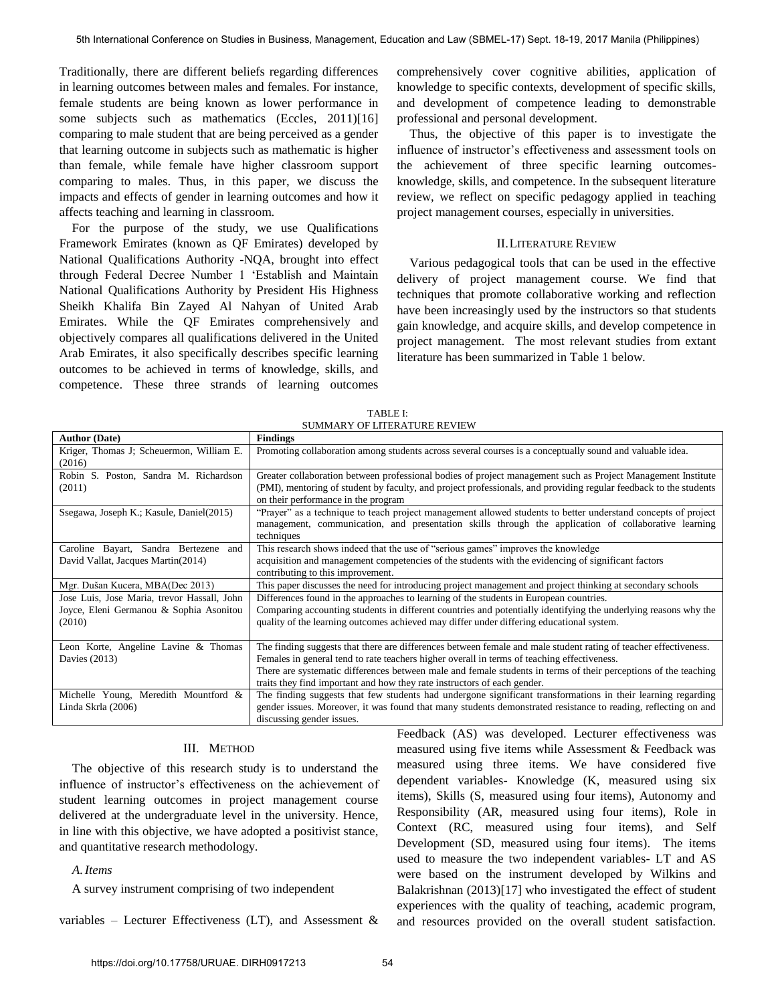Traditionally, there are different beliefs regarding differences in learning outcomes between males and females. For instance, female students are being known as lower performance in some subjects such as mathematics (Eccles, 2011)[16] comparing to male student that are being perceived as a gender that learning outcome in subjects such as mathematic is higher than female, while female have higher classroom support comparing to males. Thus, in this paper, we discuss the impacts and effects of gender in learning outcomes and how it affects teaching and learning in classroom.

For the purpose of the study, we use Qualifications Framework Emirates (known as QF Emirates) developed by National Qualifications Authority -NQA, brought into effect through Federal Decree Number 1 "Establish and Maintain National Qualifications Authority by President His Highness Sheikh Khalifa Bin Zayed Al Nahyan of United Arab Emirates. While the QF Emirates comprehensively and objectively compares all qualifications delivered in the United Arab Emirates, it also specifically describes specific learning outcomes to be achieved in terms of knowledge, skills, and competence. These three strands of learning outcomes

comprehensively cover cognitive abilities, application of knowledge to specific contexts, development of specific skills, and development of competence leading to demonstrable professional and personal development.

Thus, the objective of this paper is to investigate the influence of instructor's effectiveness and assessment tools on the achievement of three specific learning outcomesknowledge, skills, and competence. In the subsequent literature review, we reflect on specific pedagogy applied in teaching project management courses, especially in universities.

#### II.LITERATURE REVIEW

 Various pedagogical tools that can be used in the effective delivery of project management course. We find that techniques that promote collaborative working and reflection have been increasingly used by the instructors so that students gain knowledge, and acquire skills, and develop competence in project management. The most relevant studies from extant literature has been summarized in Table 1 below.

| <b>Author (Date)</b>                        | <b>Findings</b>                                                                                                   |  |  |
|---------------------------------------------|-------------------------------------------------------------------------------------------------------------------|--|--|
| Kriger, Thomas J; Scheuermon, William E.    | Promoting collaboration among students across several courses is a conceptually sound and valuable idea.          |  |  |
| (2016)                                      |                                                                                                                   |  |  |
| Robin S. Poston, Sandra M. Richardson       | Greater collaboration between professional bodies of project management such as Project Management Institute      |  |  |
| (2011)                                      | (PMI), mentoring of student by faculty, and project professionals, and providing regular feedback to the students |  |  |
|                                             | on their performance in the program                                                                               |  |  |
| Ssegawa, Joseph K.; Kasule, Daniel(2015)    | "Prayer" as a technique to teach project management allowed students to better understand concepts of project     |  |  |
|                                             | management, communication, and presentation skills through the application of collaborative learning              |  |  |
|                                             | techniques                                                                                                        |  |  |
| Caroline Bayart, Sandra Bertezene<br>and    | This research shows indeed that the use of "serious games" improves the knowledge                                 |  |  |
| David Vallat, Jacques Martin(2014)          | acquisition and management competencies of the students with the evidencing of significant factors                |  |  |
|                                             | contributing to this improvement.                                                                                 |  |  |
| Mgr. Dušan Kucera, MBA(Dec 2013)            | This paper discusses the need for introducing project management and project thinking at secondary schools        |  |  |
| Jose Luis, Jose Maria, trevor Hassall, John | Differences found in the approaches to learning of the students in European countries.                            |  |  |
| Joyce, Eleni Germanou & Sophia Asonitou     | Comparing accounting students in different countries and potentially identifying the underlying reasons why the   |  |  |
| (2010)                                      | quality of the learning outcomes achieved may differ under differing educational system.                          |  |  |
|                                             |                                                                                                                   |  |  |
| Leon Korte, Angeline Lavine & Thomas        | The finding suggests that there are differences between female and male student rating of teacher effectiveness.  |  |  |
| Davies (2013)                               | Females in general tend to rate teachers higher overall in terms of teaching effectiveness.                       |  |  |
|                                             | There are systematic differences between male and female students in terms of their perceptions of the teaching   |  |  |
|                                             | traits they find important and how they rate instructors of each gender.                                          |  |  |
| Michelle Young, Meredith Mountford &        | The finding suggests that few students had undergone significant transformations in their learning regarding      |  |  |
| Linda Skrla (2006)                          | gender issues. Moreover, it was found that many students demonstrated resistance to reading, reflecting on and    |  |  |
|                                             | discussing gender issues.                                                                                         |  |  |

TABLE I: SUMMARY OF LITERATURE REVIEW

# III. METHOD

The objective of this research study is to understand the influence of instructor's effectiveness on the achievement of student learning outcomes in project management course delivered at the undergraduate level in the university. Hence, in line with this objective, we have adopted a positivist stance, and quantitative research methodology.

# *A.Items*

A survey instrument comprising of two independent

variables – Lecturer Effectiveness (LT), and Assessment  $\&$ 

Feedback (AS) was developed. Lecturer effectiveness was measured using five items while Assessment & Feedback was measured using three items. We have considered five dependent variables- Knowledge (K, measured using six items), Skills (S, measured using four items), Autonomy and Responsibility (AR, measured using four items), Role in Context (RC, measured using four items), and Self Development (SD, measured using four items). The items used to measure the two independent variables- LT and AS were based on the instrument developed by Wilkins and Balakrishnan (2013)[17] who investigated the effect of student experiences with the quality of teaching, academic program, and resources provided on the overall student satisfaction.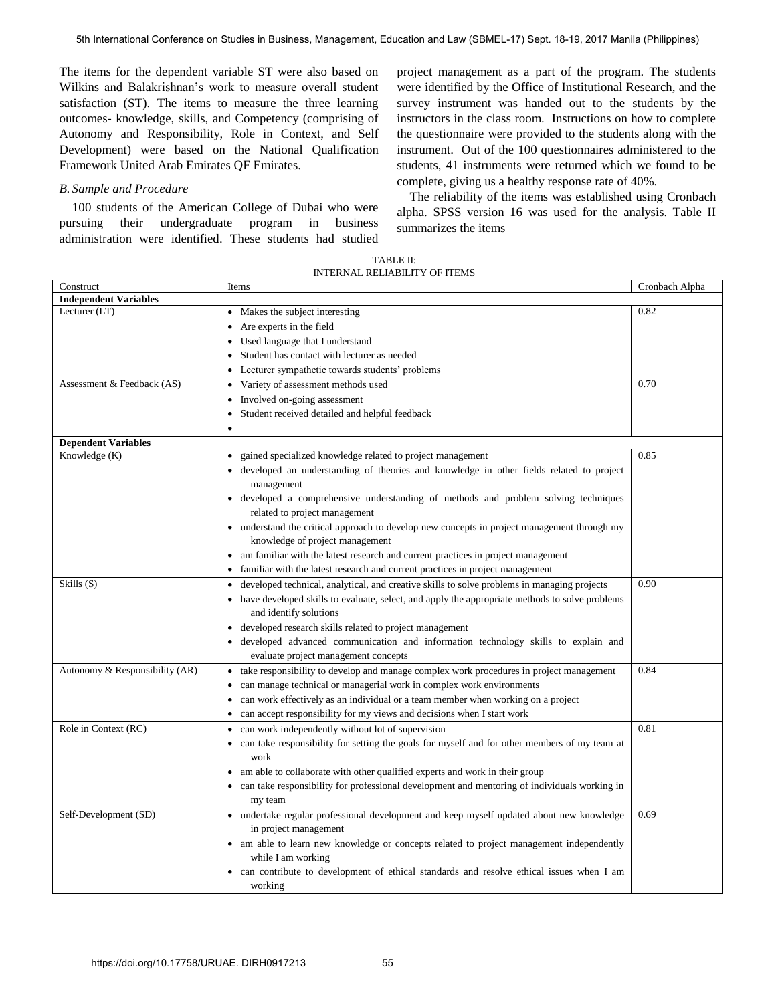The items for the dependent variable ST were also based on Wilkins and Balakrishnan"s work to measure overall student satisfaction (ST). The items to measure the three learning outcomes- knowledge, skills, and Competency (comprising of Autonomy and Responsibility, Role in Context, and Self Development) were based on the National Qualification Framework United Arab Emirates QF Emirates.

## *B. Sample and Procedure*

100 students of the American College of Dubai who were pursuing their undergraduate program in business administration were identified. These students had studied project management as a part of the program. The students were identified by the Office of Institutional Research, and the survey instrument was handed out to the students by the instructors in the class room. Instructions on how to complete the questionnaire were provided to the students along with the instrument. Out of the 100 questionnaires administered to the students, 41 instruments were returned which we found to be complete, giving us a healthy response rate of 40%.

The reliability of the items was established using Cronbach alpha. SPSS version 16 was used for the analysis. Table II summarizes the items

| TABLE II:                            |
|--------------------------------------|
| <b>INTERNAL RELIABILITY OF ITEMS</b> |

| Construct                      | Items                                                                                             | Cronbach Alpha |
|--------------------------------|---------------------------------------------------------------------------------------------------|----------------|
| <b>Independent Variables</b>   |                                                                                                   |                |
| Lecturer (LT)                  | Makes the subject interesting                                                                     | 0.82           |
|                                | Are experts in the field<br>$\bullet$                                                             |                |
|                                | Used language that I understand<br>$\bullet$                                                      |                |
|                                | Student has contact with lecturer as needed                                                       |                |
|                                | Lecturer sympathetic towards students' problems                                                   |                |
| Assessment & Feedback (AS)     | Variety of assessment methods used<br>$\bullet$                                                   | 0.70           |
|                                | Involved on-going assessment<br>$\bullet$                                                         |                |
|                                | Student received detailed and helpful feedback                                                    |                |
|                                | $\bullet$                                                                                         |                |
| <b>Dependent Variables</b>     |                                                                                                   |                |
| Knowledge (K)                  | gained specialized knowledge related to project management<br>$\bullet$                           | 0.85           |
|                                | · developed an understanding of theories and knowledge in other fields related to project         |                |
|                                | management                                                                                        |                |
|                                | • developed a comprehensive understanding of methods and problem solving techniques               |                |
|                                | related to project management                                                                     |                |
|                                | • understand the critical approach to develop new concepts in project management through my       |                |
|                                | knowledge of project management                                                                   |                |
|                                | • am familiar with the latest research and current practices in project management                |                |
|                                | familiar with the latest research and current practices in project management<br>$\bullet$        |                |
| Skills(S)                      | • developed technical, analytical, and creative skills to solve problems in managing projects     | 0.90           |
|                                | • have developed skills to evaluate, select, and apply the appropriate methods to solve problems  |                |
|                                | and identify solutions                                                                            |                |
|                                | • developed research skills related to project management                                         |                |
|                                | • developed advanced communication and information technology skills to explain and               |                |
|                                | evaluate project management concepts                                                              |                |
| Autonomy & Responsibility (AR) | • take responsibility to develop and manage complex work procedures in project management         | 0.84           |
|                                | can manage technical or managerial work in complex work environments                              |                |
|                                | can work effectively as an individual or a team member when working on a project                  |                |
|                                | can accept responsibility for my views and decisions when I start work                            |                |
| Role in Context (RC)           | can work independently without lot of supervision                                                 | 0.81           |
|                                | can take responsibility for setting the goals for myself and for other members of my team at<br>٠ |                |
|                                | work                                                                                              |                |
|                                | • am able to collaborate with other qualified experts and work in their group                     |                |
|                                | can take responsibility for professional development and mentoring of individuals working in      |                |
|                                | my team                                                                                           |                |
| Self-Development (SD)          | • undertake regular professional development and keep myself updated about new knowledge          | 0.69           |
|                                | in project management                                                                             |                |
|                                | • am able to learn new knowledge or concepts related to project management independently          |                |
|                                | while I am working                                                                                |                |
|                                | • can contribute to development of ethical standards and resolve ethical issues when I am         |                |
|                                | working                                                                                           |                |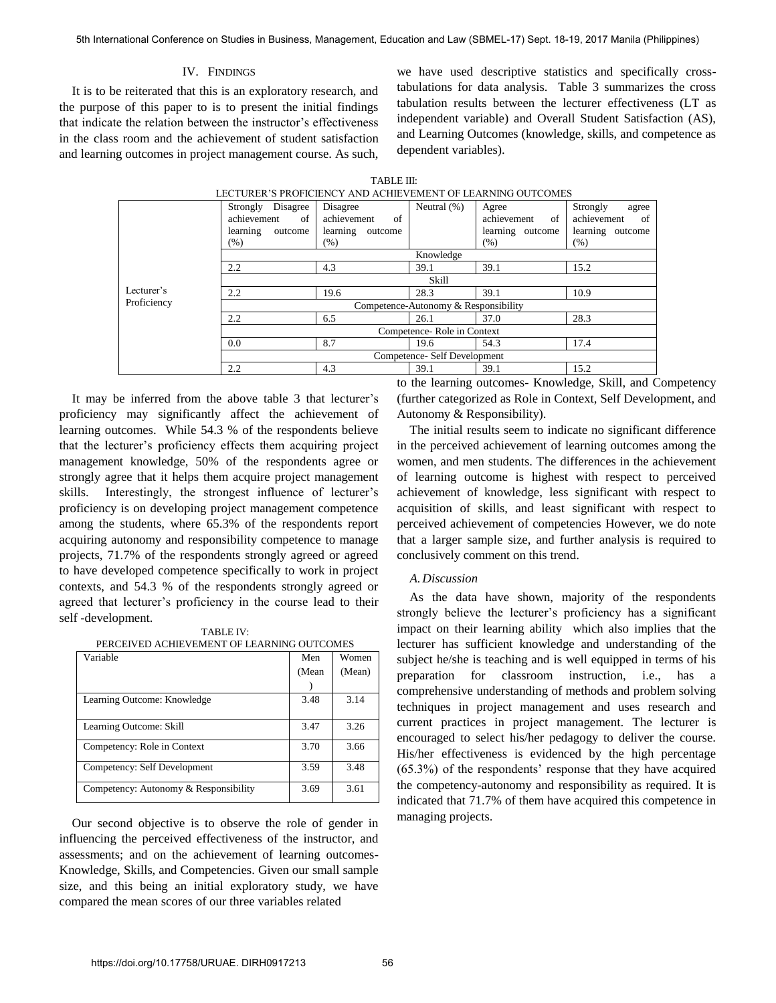# IV. FINDINGS

It is to be reiterated that this is an exploratory research, and the purpose of this paper to is to present the initial findings that indicate the relation between the instructor"s effectiveness in the class room and the achievement of student satisfaction and learning outcomes in project management course. As such, we have used descriptive statistics and specifically crosstabulations for data analysis. Table 3 summarizes the cross tabulation results between the lecturer effectiveness (LT as independent variable) and Overall Student Satisfaction (AS), and Learning Outcomes (knowledge, skills, and competence as dependent variables).

| LECTURER'S PROFICIENCY AND ACHIEVEMENT OF LEARNING OUTCOMES |                                                                             |                                                              |                |                                                        |                                                                    |  |
|-------------------------------------------------------------|-----------------------------------------------------------------------------|--------------------------------------------------------------|----------------|--------------------------------------------------------|--------------------------------------------------------------------|--|
|                                                             | Disagree<br>Strongly<br>achievement<br>of<br>learning<br>outcome<br>$(\% )$ | Disagree<br>achievement<br>of<br>learning<br>outcome<br>(% ) | Neutral $(\%)$ | Agree<br>achievement<br>of<br>learning outcome<br>(% ) | Strongly<br>agree<br>of<br>achievement<br>learning outcome<br>(% ) |  |
|                                                             | Knowledge                                                                   |                                                              |                |                                                        |                                                                    |  |
|                                                             | 2.2                                                                         | 4.3                                                          | 39.1           | 39.1                                                   | 15.2                                                               |  |
|                                                             | <b>Skill</b>                                                                |                                                              |                |                                                        |                                                                    |  |
| Lecturer's                                                  | 2.2                                                                         | 19.6                                                         | 28.3           | 39.1                                                   | 10.9                                                               |  |
| Proficiency                                                 | Competence-Autonomy & Responsibility                                        |                                                              |                |                                                        |                                                                    |  |
|                                                             | 2.2                                                                         | 6.5                                                          | 26.1           | 37.0                                                   | 28.3                                                               |  |
|                                                             | Competence-Role in Context                                                  |                                                              |                |                                                        |                                                                    |  |
|                                                             | 0.0                                                                         | 8.7                                                          | 19.6           | 54.3                                                   | 17.4                                                               |  |
|                                                             | Competence- Self Development                                                |                                                              |                |                                                        |                                                                    |  |
|                                                             | 2.2                                                                         | 4.3                                                          | 39.1           | 39.1                                                   | 15.2                                                               |  |

TABLE III:

It may be inferred from the above table 3 that lecturer's proficiency may significantly affect the achievement of learning outcomes. While 54.3 % of the respondents believe that the lecturer"s proficiency effects them acquiring project management knowledge, 50% of the respondents agree or strongly agree that it helps them acquire project management skills. Interestingly, the strongest influence of lecturer's proficiency is on developing project management competence among the students, where 65.3% of the respondents report acquiring autonomy and responsibility competence to manage projects, 71.7% of the respondents strongly agreed or agreed to have developed competence specifically to work in project contexts, and 54.3 % of the respondents strongly agreed or agreed that lecturer's proficiency in the course lead to their self -development.

TABLE IV:

|  | PERCEIVED ACHIEVEMENT OF LEARNING OUTCOMES |  |  |
|--|--------------------------------------------|--|--|
|--|--------------------------------------------|--|--|

| Variable                              | Men   | Women  |
|---------------------------------------|-------|--------|
|                                       | (Mean | (Mean) |
|                                       |       |        |
| Learning Outcome: Knowledge           | 3.48  | 3.14   |
|                                       |       |        |
| Learning Outcome: Skill               | 3.47  | 3.26   |
| Competency: Role in Context           | 3.70  | 3.66   |
| Competency: Self Development          | 3.59  | 3.48   |
| Competency: Autonomy & Responsibility | 3.69  | 3.61   |

Our second objective is to observe the role of gender in influencing the perceived effectiveness of the instructor, and assessments; and on the achievement of learning outcomes-Knowledge, Skills, and Competencies. Given our small sample size, and this being an initial exploratory study, we have compared the mean scores of our three variables related

to the learning outcomes- Knowledge, Skill, and Competency (further categorized as Role in Context, Self Development, and Autonomy & Responsibility).

The initial results seem to indicate no significant difference in the perceived achievement of learning outcomes among the women, and men students. The differences in the achievement of learning outcome is highest with respect to perceived achievement of knowledge, less significant with respect to acquisition of skills, and least significant with respect to perceived achievement of competencies However, we do note that a larger sample size, and further analysis is required to conclusively comment on this trend.

## *A.Discussion*

As the data have shown, majority of the respondents strongly believe the lecturer"s proficiency has a significant impact on their learning ability which also implies that the lecturer has sufficient knowledge and understanding of the subject he/she is teaching and is well equipped in terms of his preparation for classroom instruction, i.e., has a comprehensive understanding of methods and problem solving techniques in project management and uses research and current practices in project management. The lecturer is encouraged to select his/her pedagogy to deliver the course. His/her effectiveness is evidenced by the high percentage  $(65.3%)$  of the respondents' response that they have acquired the competency-autonomy and responsibility as required. It is indicated that 71.7% of them have acquired this competence in managing projects.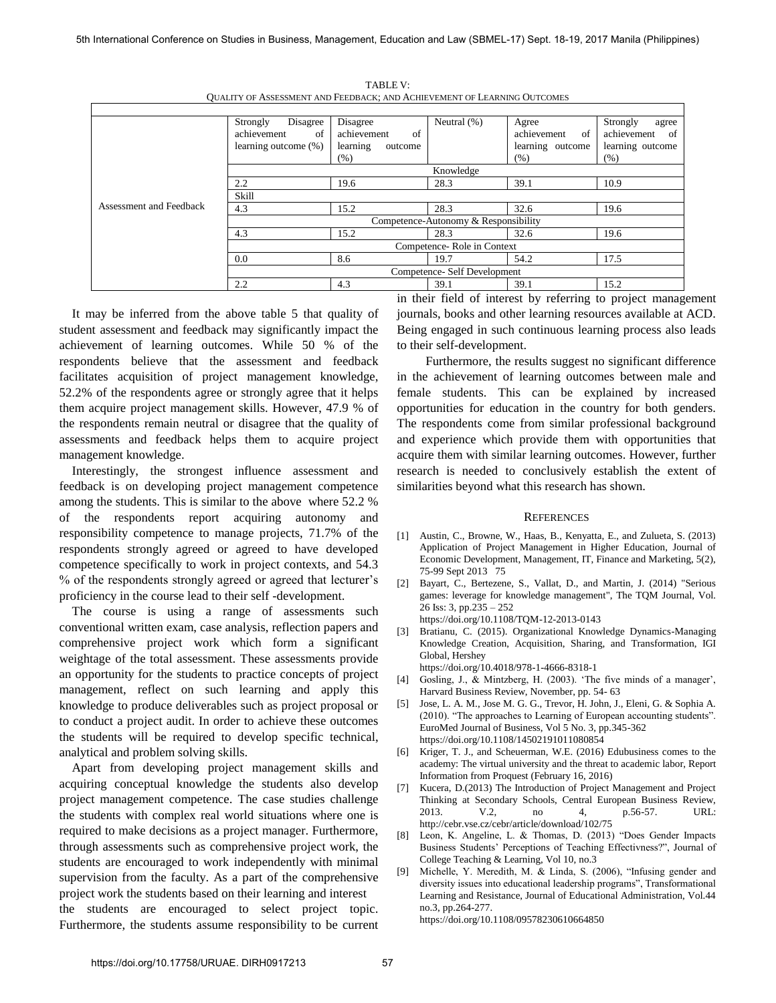|                         | Disagree<br>Strongly                 | Disagree            | Neutral (%) | Agree             | Strongly<br>agree |
|-------------------------|--------------------------------------|---------------------|-------------|-------------------|-------------------|
|                         | achievement<br>of                    | of<br>achievement   |             | achievement<br>of | achievement<br>of |
|                         | learning outcome (%)                 | learning<br>outcome |             | learning outcome  | learning outcome  |
|                         |                                      | (% )                |             | (% )              | (% )              |
|                         | Knowledge                            |                     |             |                   |                   |
|                         | 2.2                                  | 19.6                | 28.3        | 39.1              | 10.9              |
|                         | Skill                                |                     |             |                   |                   |
| Assessment and Feedback | 4.3                                  | 15.2                | 28.3        | 32.6              | 19.6              |
|                         | Competence-Autonomy & Responsibility |                     |             |                   |                   |
|                         | 4.3                                  | 15.2                | 28.3        | 32.6              | 19.6              |
|                         | Competence-Role in Context           |                     |             |                   |                   |
|                         | 0.0                                  | 8.6                 | 19.7        | 54.2              | 17.5              |
|                         | Competence- Self Development         |                     |             |                   |                   |
|                         | 2.2                                  | 4.3                 | 39.1        | 39.1              | 15.2              |

TABLE V: QUALITY OF ASSESSMENT AND FEEDBACK; AND ACHIEVEMENT OF LEARNING OUTCOMES

It may be inferred from the above table 5 that quality of student assessment and feedback may significantly impact the achievement of learning outcomes. While 50 % of the respondents believe that the assessment and feedback facilitates acquisition of project management knowledge, 52.2% of the respondents agree or strongly agree that it helps them acquire project management skills. However, 47.9 % of the respondents remain neutral or disagree that the quality of assessments and feedback helps them to acquire project management knowledge.

Interestingly, the strongest influence assessment and feedback is on developing project management competence among the students. This is similar to the above where 52.2 % of the respondents report acquiring autonomy and responsibility competence to manage projects, 71.7% of the respondents strongly agreed or agreed to have developed competence specifically to work in project contexts, and 54.3 % of the respondents strongly agreed or agreed that lecturer"s proficiency in the course lead to their self -development.

The course is using a range of assessments such conventional written exam, case analysis, reflection papers and comprehensive project work which form a significant weightage of the total assessment. These assessments provide an opportunity for the students to practice concepts of project management, reflect on such learning and apply this knowledge to produce deliverables such as project proposal or to conduct a project audit. In order to achieve these outcomes the students will be required to develop specific technical, analytical and problem solving skills.

Apart from developing project management skills and acquiring conceptual knowledge the students also develop project management competence. The case studies challenge the students with complex real world situations where one is required to make decisions as a project manager. Furthermore, through assessments such as comprehensive project work, the students are encouraged to work independently with minimal supervision from the faculty. As a part of the comprehensive project work the students based on their learning and interest the students are encouraged to select project topic. Furthermore, the students assume responsibility to be current in their field of interest by referring to project management journals, books and other learning resources available at ACD. Being engaged in such continuous learning process also leads to their self-development.

 Furthermore, the results suggest no significant difference in the achievement of learning outcomes between male and female students. This can be explained by increased opportunities for education in the country for both genders. The respondents come from similar professional background and experience which provide them with opportunities that acquire them with similar learning outcomes. However, further research is needed to conclusively establish the extent of similarities beyond what this research has shown.

#### **REFERENCES**

- [1] Austin, C., Browne, W., Haas, B., Kenyatta, E., and Zulueta, S. (2013) Application of Project Management in Higher Education, Journal of Economic Development, Management, IT, Finance and Marketing, 5(2), 75-99 Sept 2013 75
- [2] Bayart, C., Bertezene, S., Vallat, D., and Martin, J. (2014) "Serious games: leverage for knowledge management", The TQM Journal, Vol. 26 Iss: 3, pp.235 – 252 https://doi.org/10.1108/TQM-12-2013-0143
- [3] Bratianu, C. (2015). Organizational Knowledge Dynamics-Managing Knowledge Creation, Acquisition, Sharing, and Transformation, IGI Global, Hershey
- https://doi.org/10.4018/978-1-4666-8318-1
- [4] Gosling, J., & Mintzberg, H. (2003). 'The five minds of a manager', Harvard Business Review, November, pp. 54- 63
- [5] Jose, L. A. M., Jose M. G. G., Trevor, H. John, J., Eleni, G. & Sophia A. (2010). "The approaches to Learning of European accounting students". EuroMed Journal of Business, Vol 5 No. 3, pp.345-362 https://doi.org/10.1108/14502191011080854
- [6] Kriger, T. J., and Scheuerman, W.E. (2016) Edubusiness comes to the academy: The virtual university and the threat to academic labor, Report Information from Proquest (February 16, 2016)
- [7] Kucera, D.(2013) The Introduction of Project Management and Project Thinking at Secondary Schools, Central European Business Review, 2013. V.2, no 4, p.56-57. URL: http://cebr.vse.cz/cebr/article/download/102/75
- [8] Leon, K. Angeline, L. & Thomas, D. (2013) "Does Gender Impacts Business Students" Perceptions of Teaching Effectivness?", Journal of College Teaching & Learning, Vol 10, no.3
- [9] Michelle, Y. Meredith, M. & Linda, S. (2006), "Infusing gender and diversity issues into educational leadership programs", Transformational Learning and Resistance, Journal of Educational Administration, Vol.44 no.3, pp.264-277.

https://doi.org/10.1108/09578230610664850